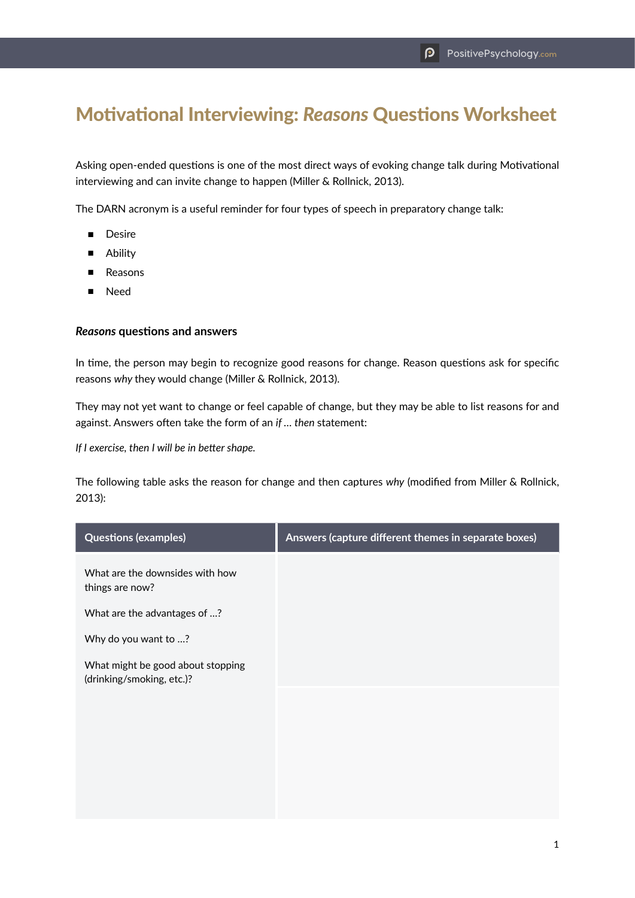## Motivational Interviewing: *Reasons* Questions Worksheet

Asking open-ended questions is one of the most direct ways of evoking change talk during Motivational interviewing and can invite change to happen (Miller & Rollnick, 2013).

The DARN acronym is a useful reminder for four types of speech in preparatory change talk:

- Desire
- Ability
- Reasons
- Need

## *Reasons* **questions and answers**

In time, the person may begin to recognize good reasons for change. Reason questions ask for specific reasons *why* they would change (Miller & Rollnick, 2013).

They may not yet want to change or feel capable of change, but they may be able to list reasons for and against. Answers often take the form of an *if … then* statement:

*If I exercise, then I will be in better shape.*

The following table asks the reason for change and then captures *why* (modified from Miller & Rollnick, 2013):

| <b>Questions (examples)</b>                                    | Answers (capture different themes in separate boxes) |
|----------------------------------------------------------------|------------------------------------------------------|
| What are the downsides with how<br>things are now?             |                                                      |
| What are the advantages of ?                                   |                                                      |
| Why do you want to ?                                           |                                                      |
| What might be good about stopping<br>(drinking/smoking, etc.)? |                                                      |
|                                                                |                                                      |
|                                                                |                                                      |
|                                                                |                                                      |
|                                                                |                                                      |
|                                                                |                                                      |